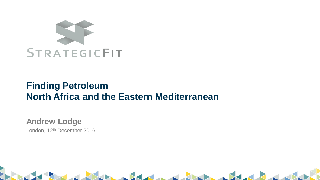

# **Finding Petroleum North Africa and the Eastern Mediterranean**

**Andrew Lodge** London, 12<sup>th</sup> December 2016

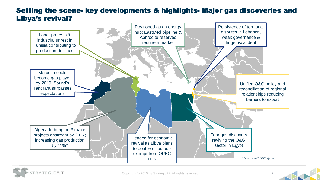### Setting the scene- key developments & highlights- Major gas discoveries and Libya's revival?





Copyright © 2015 by StrategicFit. All rights reserved. 2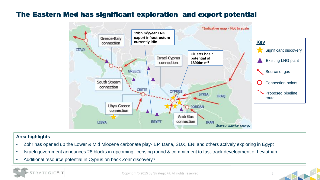### The Eastern Med has significant exploration and export potential



#### **Area highlights**

- Zohr has opened up the Lower & Mid Miocene carbonate play- BP, Dana, SDX, ENI and others actively exploring in Egypt
- Israeli government announces 28 blocks in upcoming licensing round & commitment to fast-track development of Leviathan
- Additional resource potential in Cyprus on back Zohr discovery?

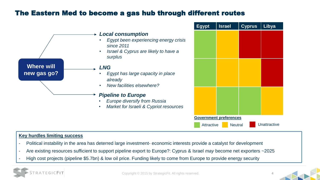### The Eastern Med to become a gas hub through different routes



#### **Key hurdles limiting success**

- Political instability in the area has deterred large investment- economic interests provide a catalyst for development
- Are existing resources sufficient to support pipeline export to Europe?: Cyprus & Israel *may* become net exporters ~2025
- High cost projects (pipeline \$5.7bn) & low oil price. Funding likely to come from Europe to provide energy security



Copyright © 2015 by StrategicFit. All rights reserved.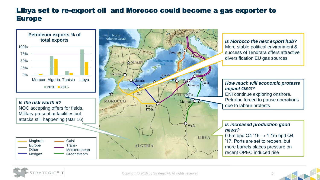# Libya set to re-export oil and Morocco could become a gas exporter to Europe



*Is Morocco the next export hub?*  More stable political environment & success of Tendrara offers attractive diversification EU gas sources

*How much will economic protests impact O&G?* ENI continue exploring onshore. Petrofac forced to pause operations

#### *Is increased production good news?*

0.6m bpd Q4 '16  $\rightarrow$  1.1m bpd Q4 '17. Ports are set to reopen, but more barrels places pressure on recent OPEC induced rise



Copyright © 2015 by StrategicFit. All rights reserved. 5